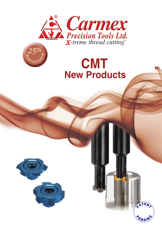

# **CMT New Products**

ATEN

**SND** 



*<sup>A</sup>nniversar<sup>y</sup>*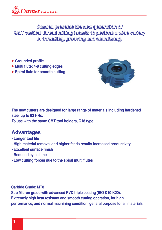**Carmex presents the new generation of CMT vertical thread milling inserts to perform a wide variety of threading, grooving and chamfering.**

- **Grounded profile**
- **Multi flute: 4-8 cutting edges**
- **Spiral flute for smooth cutting**



**The new cutters are designed for large range of materials including hardened steel up to 62 HRc.** 

**To use with the same CMT tool holders, C18 type.**

### **Advantages**

- **Longer tool life**
- **High material removal and higher feeds results increased productivity**
- **Excellent surface finish**
- **Reduced cycle time**
- **Low cutting forces due to the spiral multi flutes**

**Carbide Grade: MT8 Sub Micron grade with advanced PVD triple coating (ISO K10-K20). Extremely high heat resistant and smooth cutting operation, for high performance, and normal machining condition, general purpose for all materials.**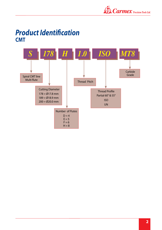

### *Product Identification*  **CMT**

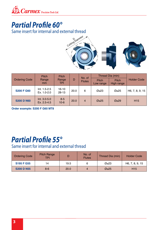

### *Partial Profile 60°*

Same insert for internal and external thread



|                      | <b>Pitch</b>                | <b>Pitch</b>         |      | No. of        | Thread Dia (min)          |                            |                    |
|----------------------|-----------------------------|----------------------|------|---------------|---------------------------|----------------------------|--------------------|
| <b>Ordering Code</b> | Range<br>mm                 | Range<br>TPI.        | D    | <b>Flutes</b> | <b>Pitch</b><br>Low range | <b>Pitch</b><br>High range | <b>Holder Code</b> |
| <b>S200 F G60</b>    | Int. 1.5-2.5<br>Ex. 1.0-2.0 | $16 - 10$<br>$28-13$ | 20.0 | 6             | Ø≥23                      | Ø≥25                       | H6, 7, 8, 9, 15    |
| <b>S200 D N60</b>    | Int. 3.0-5.0<br>Ex. 2.5-4.5 | $8 - 5$<br>$10 - 6$  | 20.0 | 4             | Ø≥25                      | Ø≥29                       | H <sub>15</sub>    |

**Order example: S200 F G60 MT8**

### *Partial Profile 55°*

Same insert for internal and external thread

| <b>Ordering Code</b> | <b>Pitch Range</b><br><b>TPI</b> |             | No. of<br><b>Flutes</b> | Thread Dia (min) | <b>Holder Code</b> |
|----------------------|----------------------------------|-------------|-------------------------|------------------|--------------------|
| <b>S195 F G55</b>    | 14                               | 19.5        |                         | Ø≥23             | H6, 7, 8, 9, 15    |
| <b>S200 D N55</b>    | $8 - 6$                          | <b>20.0</b> |                         | Ø≥25             | H <sub>15</sub>    |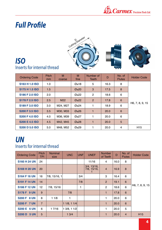

### *Full Profile*



#### *ISO* Inserts for internal thread

| <b>Ordering Code</b>  | Pitch<br>mm | M<br>coarse     | M<br>fine             | Number of<br>Teeth | D    | No. of<br><b>Flutes</b> | <b>Holder Code</b> |
|-----------------------|-------------|-----------------|-----------------------|--------------------|------|-------------------------|--------------------|
| S163 H 1.0 ISO        | 1.0         |                 | Ø≥18                  | 5                  | 16.3 | 8                       |                    |
| <b>S175 H 1.5 ISO</b> | 1.5         |                 | $\emptyset$ ≥20       | 3                  | 17.5 | 8                       |                    |
| S186 F 2.0 ISO        | 2.0         |                 | Ø≥22                  | $\overline{2}$     | 18.6 | 6                       |                    |
| S178 F 2.5 ISO        | 2.5         | M <sub>22</sub> | $\mathcal{Q} \geq 22$ | 2                  | 17.8 | 6                       |                    |
| S189 F 3.0 ISO        | 3.0         | M24, M27        | Ø≥24                  |                    | 18.9 | 6                       | H6, 7, 8, 9, 15    |
| <b>S200 F 3.5 ISO</b> | 3.5         | M30, M33        | Ø≥26                  |                    | 20.0 | 6                       |                    |
| <b>S200 F 4.0 ISO</b> | 4.0         | M36, M39        | Ø≥27                  |                    | 20.0 | 6                       |                    |
| <b>S200 E 4.5 ISO</b> | 4.5         | M42, M45        | Ø≥28                  | 1                  | 20.0 | 5                       |                    |
| <b>S200 D 5.0 ISO</b> | 5.0         | M48, M52        | Ø≥29                  |                    | 20.0 | 4                       | H <sub>15</sub>    |

#### *UN* Inserts for internal thread

| <b>Ordering Code</b>         | <b>Pitch</b><br>TPI | <b>Nominal</b><br>size | <b>UNC</b> | <b>UNF</b> | <b>UNEF</b>                      | <b>Number</b><br>of Teeth | D    | No. of<br><b>Flutes</b> | <b>Holder Code</b> |
|------------------------------|---------------------|------------------------|------------|------------|----------------------------------|---------------------------|------|-------------------------|--------------------|
| <b>S160 H 24 UN</b>          | 24                  |                        |            |            | 11/16                            | 4                         | 16.0 | 8                       |                    |
| <b>S169 H 20 UN</b>          | 20                  |                        |            |            | $3/4$ , $13/16$ ,<br>7/8, 15/16, | $\overline{4}$            | 16.9 | 8                       |                    |
| <b>S164 F 16 UN</b>          | 16                  | 7/8, 15/16, 1          |            | 3/4        |                                  | 3                         | 16.4 | 6                       |                    |
| <b>S191 F 14 UN</b>          | 14                  |                        |            | 7/8        |                                  | 2                         | 19.1 | 6                       |                    |
| <b>S186 F 12 UN</b>          | 12 <sub>2</sub>     | 7/8, 15/16             |            | 1          |                                  | $\overline{2}$            | 18.6 | 6                       | H6, 7, 8, 9, 15    |
| <b>S178 F 9 UN</b>           | 9                   |                        | 7/8        |            |                                  | 1                         | 17.8 | 6                       |                    |
| <b>S200 F 8 UN</b>           | 8                   | 11/8                   | 1          |            |                                  | 1                         | 20.0 | 6                       |                    |
| <b>S200 F 7 UN</b>           | $\overline{7}$      |                        | 11/8, 11/4 |            |                                  | $\mathbf{1}$              | 20.0 | $6\phantom{1}$          |                    |
| <b>S200 E 6 UN</b>           | 6                   | 1 7/16                 | 13/8, 11/2 |            |                                  | 1                         | 20.0 | 5                       |                    |
| <b>5 UN</b><br><b>S200 D</b> | 5                   |                        | 13/4       |            |                                  | 1                         | 20.0 | $\overline{4}$          | H <sub>15</sub>    |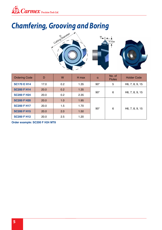

# *Chamfering, Grooving and Boring*



| <b>Ordering Code</b> | D    | W   | H max | $\alpha$     | No. of<br><b>Flutes</b> | <b>Holder Code</b> |
|----------------------|------|-----|-------|--------------|-------------------------|--------------------|
| <b>SC170 E H14</b>   | 17.0 | 0.2 | 1.35  | $90^{\circ}$ | 5                       | H6, 7, 8, 9, 15    |
| <b>SC200 F H14</b>   | 20.0 | 0.2 | 1.35  |              | 6<br>$90^{\circ}$       |                    |
| <b>SC200 F H24</b>   | 20.0 | 0.2 | 2.35  |              |                         | H6, 7, 8, 9, 15    |
| <b>SC200 F H20</b>   | 20.0 | 1.0 | 1.95  |              | 6                       |                    |
| <b>SC200 F H17</b>   | 20.0 | 1.5 | 1.70  |              |                         |                    |
| <b>SC200 F H15</b>   | 20.0 | 2.0 | 1.50  | $90^{\circ}$ |                         | H6, 7, 8, 9, 15    |
| <b>SC200 F H12</b>   | 20.0 | 2.5 | 1.20  |              |                         |                    |

**Order example: SC200 F H24 MT8**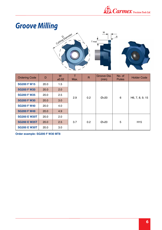

# *Groove Milling*



| <b>Ordering Code</b> | D    | W<br>±0.02 | т<br>Max. | $\overline{R}$ | Groove Dia.<br>(min) | No. of<br><b>Flutes</b> | <b>Holder Code</b> |
|----------------------|------|------------|-----------|----------------|----------------------|-------------------------|--------------------|
| <b>SG200 F W15</b>   | 20.0 | 1.5        |           |                |                      |                         |                    |
| <b>SG200 F W20</b>   | 20.0 | 2.0        |           |                |                      |                         | H6, 7, 8, 9, 15    |
| <b>SG200 F W25</b>   | 20.0 | 2.5        |           |                |                      | 6                       |                    |
| <b>SG200 F W30</b>   | 20.0 | 3.0        | 2.9       | 0.2            | Ø > 20               |                         |                    |
| <b>SG200 F W40</b>   | 20.0 | 4.0        |           |                |                      |                         |                    |
| <b>SG200 F W49</b>   | 20.0 | 4.9        |           |                |                      |                         |                    |
| <b>SG200 E W20T</b>  | 20.0 | 2.0        |           |                |                      |                         |                    |
| <b>SG200 E W25T</b>  | 20.0 | 2.5        | 3.7       | 0.2            | Ø > 20               | 5                       | H <sub>15</sub>    |
| <b>SG200 E W30T</b>  | 20.0 | 3.0        |           |                |                      |                         |                    |

**Order example: SG200 F W30 MT8**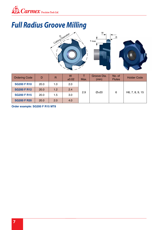

# *Full Radius Groove Milling*



| <b>Ordering Code</b> | D           | R   | W<br>±0.02 | Max. | Groove Dia.<br>(min) | No. of<br><b>Flutes</b> | <b>Holder Code</b> |
|----------------------|-------------|-----|------------|------|----------------------|-------------------------|--------------------|
| <b>SG200 F R10</b>   | 20.0        | 1.0 | 2.0        |      |                      |                         |                    |
| <b>SG200 F R12</b>   | <b>20.0</b> | 1.2 | 2.4        | 2.9  | Ø > 20               |                         |                    |
| <b>SG200 F R15</b>   | 20.0        | 1.5 | 3.0        |      |                      | 6                       | H6, 7, 8, 9, 15    |
| <b>SG200 F R20</b>   | <b>20.0</b> | 2.0 | 4.0        |      |                      |                         |                    |

**Order example: SG200 F R15 MT8**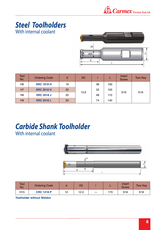

### With internal coolant *Steel Toolholders*



| <b>Tool</b><br>No. | <b>Ordering Code</b> | d  | D <sub>2</sub> |    |     | Insert<br><b>Screw</b> | <b>Torx Key</b> |
|--------------------|----------------------|----|----------------|----|-----|------------------------|-----------------|
| H <sub>6</sub>     | <b>SRC 1618 H</b>    | 16 |                | 48 | 100 |                        |                 |
| <b>H7</b>          | <b>SRC 2018 H</b>    | 20 |                | 32 | 100 | S <sub>16</sub>        |                 |
| H <sub>8</sub>     | <b>SRC 2018 J</b>    | 20 | 13.8           | 48 | 110 |                        | K <sub>16</sub> |
| H <sub>9</sub>     | <b>SRC 2018 L</b>    | 20 |                | 74 | 140 |                        |                 |

### *Carbide Shank Toolholder* With internal coolant



| <b>Tool</b><br>No. | <b>Ordering Code</b> |    | D2   |         |     | Insert<br><b>Screw</b> | <b>Torx Key</b> |
|--------------------|----------------------|----|------|---------|-----|------------------------|-----------------|
| H <sub>15</sub>    | <b>CRC 1218 P</b>    | 12 | 12.0 | $- - -$ | 170 | S16                    | K <sub>16</sub> |

**Toolholder without Weldon**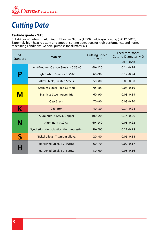

## *Cutting Data*

#### **Carbide grade - MT8:**

Sub-Micron Grade with Aluminum Titanium Nitride (AlTiN) multi-layer coating (ISO K10-K20). Extremely high heat resistant and smooth cutting operation, for high performance, and normal machining conditions. General purpose for all materials.

| <b>ISO</b><br>Standard   | <b>Material</b>                          | <b>Cutting Speed</b><br>m/min | Feed mm/tooth<br>Cutting Diameter = D |  |
|--------------------------|------------------------------------------|-------------------------------|---------------------------------------|--|
|                          |                                          |                               | Ø16-Ø20                               |  |
|                          | Low&Medium Carbon Steels <0.55%C         | $60 - 120$                    | $0.14 - 0.24$                         |  |
|                          | High Carbon Steels ≥0.55%C               | $60 - 90$                     | $0.12 - 0.24$                         |  |
|                          | <b>Alloy Steels, Treated Steels</b>      | $50 - 80$                     | $0.08 - 0.20$                         |  |
|                          | <b>Stainless Steel-Free Cutting</b>      | $70 - 100$                    | $0.08 - 0.19$                         |  |
| M                        | <b>Stainless Steel-Austenitic</b>        | $60 - 90$                     | $0.08 - 0.19$                         |  |
|                          | <b>Cast Steels</b>                       | $70 - 90$                     | $0.08 - 0.20$                         |  |
| K                        | <b>Cast Iron</b>                         | $40 - 80$                     | $0.14 - 0.24$                         |  |
|                          | Aluminum ≤12%Si, Copper                  | $100 - 200$                   | $0.14 - 0.26$                         |  |
| N                        | Aluminum $>12\%$ Si                      | $60 - 140$                    | $0.08 - 0.22$                         |  |
|                          | Synthetics, duroplastics, thermoplastics | $50 - 200$                    | $0.17 - 0.28$                         |  |
| $\boldsymbol{\varsigma}$ | Nickel alloys, Titanium alloys.          | $20 - 40$                     | $0.05 - 0.14$                         |  |
|                          | Hardened Steel, 45-50HRc                 | $60 - 70$                     | $0.07 - 0.17$                         |  |
|                          | Hardened Steel, 51-55HRc                 | $50 - 60$                     | $0.06 - 0.16$                         |  |